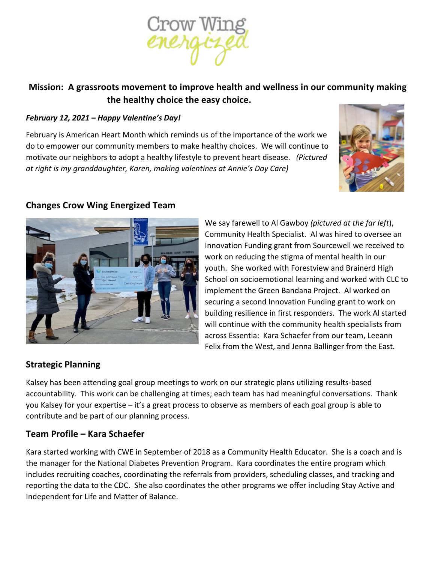

# **Mission: A grassroots movement to improve health and wellness in our community making the healthy choice the easy choice.**

#### *February 12, 2021 – Happy Valentine's Day!*

February is American Heart Month which reminds us of the importance of the work we do to empower our community members to make healthy choices. We will continue to motivate our neighbors to adopt a healthy lifestyle to prevent heart disease. *(Pictured at right is my granddaughter, Karen, making valentines at Annie's Day Care)*





### **Changes Crow Wing Energized Team**

We say farewell to Al Gawboy *(pictured at the far left*), Community Health Specialist. Al was hired to oversee an Innovation Funding grant from Sourcewell we received to work on reducing the stigma of mental health in our youth. She worked with Forestview and Brainerd High School on socioemotional learning and worked with CLC to implement the Green Bandana Project. Al worked on securing a second Innovation Funding grant to work on building resilience in first responders. The work Al started will continue with the community health specialists from across Essentia: Kara Schaefer from our team, Leeann Felix from the West, and Jenna Ballinger from the East.

# **Strategic Planning**

Kalsey has been attending goal group meetings to work on our strategic plans utilizing results-based accountability. This work can be challenging at times; each team has had meaningful conversations. Thank you Kalsey for your expertise – it's a great process to observe as members of each goal group is able to contribute and be part of our planning process.

# **Team Profile – Kara Schaefer**

Kara started working with CWE in September of 2018 as a Community Health Educator. She is a coach and is the manager for the National Diabetes Prevention Program. Kara coordinates the entire program which includes recruiting coaches, coordinating the referrals from providers, scheduling classes, and tracking and reporting the data to the CDC. She also coordinates the other programs we offer including Stay Active and Independent for Life and Matter of Balance.